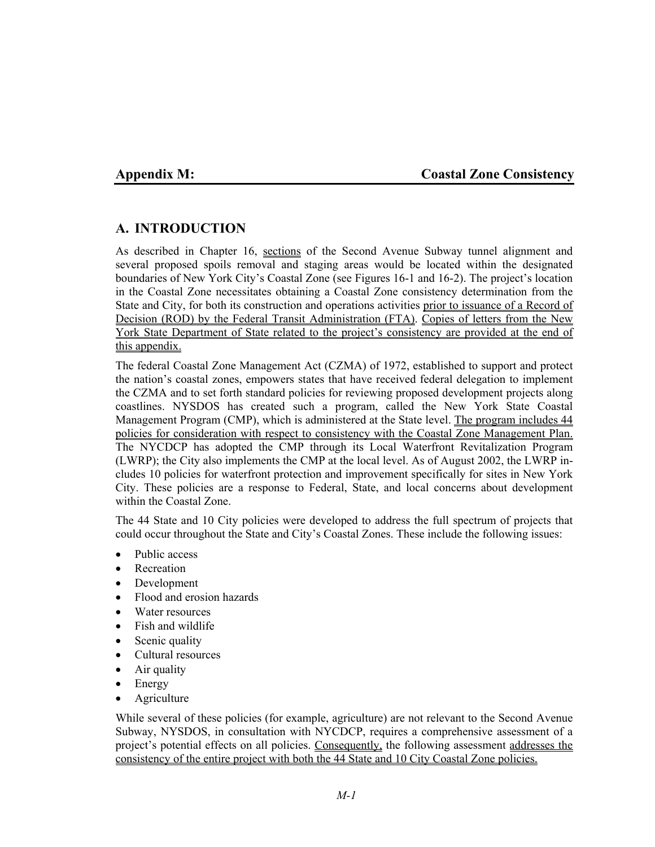## **Appendix M: Coastal Zone Consistency**

# **A. INTRODUCTION**

As described in Chapter 16, sections of the Second Avenue Subway tunnel alignment and several proposed spoils removal and staging areas would be located within the designated boundaries of New York City's Coastal Zone (see Figures 16-1 and 16-2). The project's location in the Coastal Zone necessitates obtaining a Coastal Zone consistency determination from the State and City, for both its construction and operations activities prior to issuance of a Record of Decision (ROD) by the Federal Transit Administration (FTA). Copies of letters from the New York State Department of State related to the project's consistency are provided at the end of this appendix.

The federal Coastal Zone Management Act (CZMA) of 1972, established to support and protect the nation's coastal zones, empowers states that have received federal delegation to implement the CZMA and to set forth standard policies for reviewing proposed development projects along coastlines. NYSDOS has created such a program, called the New York State Coastal Management Program (CMP), which is administered at the State level. The program includes 44 policies for consideration with respect to consistency with the Coastal Zone Management Plan. The NYCDCP has adopted the CMP through its Local Waterfront Revitalization Program (LWRP); the City also implements the CMP at the local level. As of August 2002, the LWRP includes 10 policies for waterfront protection and improvement specifically for sites in New York City. These policies are a response to Federal, State, and local concerns about development within the Coastal Zone.

The 44 State and 10 City policies were developed to address the full spectrum of projects that could occur throughout the State and City's Coastal Zones. These include the following issues:

- Public access
- Recreation
- Development
- Flood and erosion hazards
- Water resources
- Fish and wildlife
- Scenic quality
- Cultural resources
- Air quality
- Energy
- **Agriculture**

While several of these policies (for example, agriculture) are not relevant to the Second Avenue Subway, NYSDOS, in consultation with NYCDCP, requires a comprehensive assessment of a project's potential effects on all policies. Consequently, the following assessment addresses the consistency of the entire project with both the 44 State and 10 City Coastal Zone policies.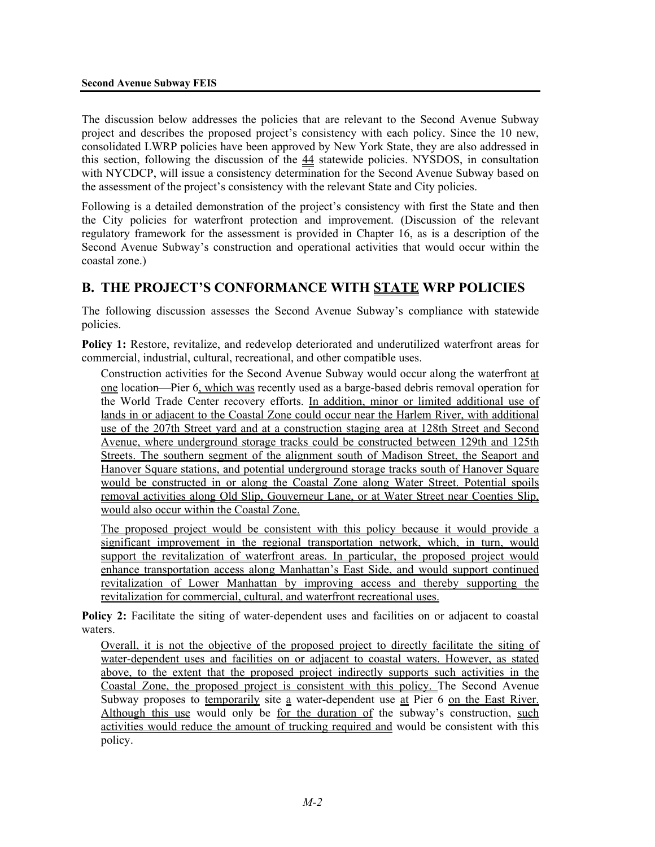The discussion below addresses the policies that are relevant to the Second Avenue Subway project and describes the proposed project's consistency with each policy. Since the 10 new, consolidated LWRP policies have been approved by New York State, they are also addressed in this section, following the discussion of the 44 statewide policies. NYSDOS, in consultation with NYCDCP, will issue a consistency determination for the Second Avenue Subway based on the assessment of the project's consistency with the relevant State and City policies.

Following is a detailed demonstration of the project's consistency with first the State and then the City policies for waterfront protection and improvement. (Discussion of the relevant regulatory framework for the assessment is provided in Chapter 16, as is a description of the Second Avenue Subway's construction and operational activities that would occur within the coastal zone.)

# **B. THE PROJECT'S CONFORMANCE WITH STATE WRP POLICIES**

The following discussion assesses the Second Avenue Subway's compliance with statewide policies.

**Policy 1:** Restore, revitalize, and redevelop deteriorated and underutilized waterfront areas for commercial, industrial, cultural, recreational, and other compatible uses.

Construction activities for the Second Avenue Subway would occur along the waterfront at one location—Pier 6, which was recently used as a barge-based debris removal operation for the World Trade Center recovery efforts. In addition, minor or limited additional use of lands in or adjacent to the Coastal Zone could occur near the Harlem River, with additional use of the 207th Street yard and at a construction staging area at 128th Street and Second Avenue, where underground storage tracks could be constructed between 129th and 125th Streets. The southern segment of the alignment south of Madison Street, the Seaport and Hanover Square stations, and potential underground storage tracks south of Hanover Square would be constructed in or along the Coastal Zone along Water Street. Potential spoils removal activities along Old Slip, Gouverneur Lane, or at Water Street near Coenties Slip, would also occur within the Coastal Zone.

The proposed project would be consistent with this policy because it would provide a significant improvement in the regional transportation network, which, in turn, would support the revitalization of waterfront areas. In particular, the proposed project would enhance transportation access along Manhattan's East Side, and would support continued revitalization of Lower Manhattan by improving access and thereby supporting the revitalization for commercial, cultural, and waterfront recreational uses.

**Policy 2:** Facilitate the siting of water-dependent uses and facilities on or adjacent to coastal waters.

Overall, it is not the objective of the proposed project to directly facilitate the siting of water-dependent uses and facilities on or adjacent to coastal waters. However, as stated above, to the extent that the proposed project indirectly supports such activities in the Coastal Zone, the proposed project is consistent with this policy. The Second Avenue Subway proposes to temporarily site a water-dependent use at Pier 6 on the East River. Although this use would only be for the duration of the subway's construction, such activities would reduce the amount of trucking required and would be consistent with this policy.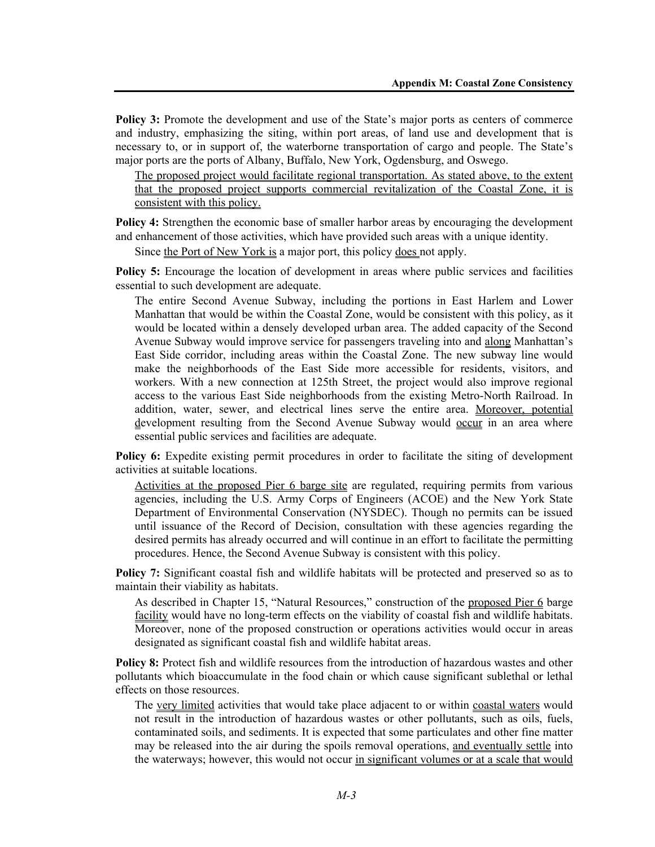**Policy 3:** Promote the development and use of the State's major ports as centers of commerce and industry, emphasizing the siting, within port areas, of land use and development that is necessary to, or in support of, the waterborne transportation of cargo and people. The State's major ports are the ports of Albany, Buffalo, New York, Ogdensburg, and Oswego.

The proposed project would facilitate regional transportation. As stated above, to the extent that the proposed project supports commercial revitalization of the Coastal Zone, it is consistent with this policy.

**Policy 4:** Strengthen the economic base of smaller harbor areas by encouraging the development and enhancement of those activities, which have provided such areas with a unique identity.

Since the Port of New York is a major port, this policy does not apply.

**Policy 5:** Encourage the location of development in areas where public services and facilities essential to such development are adequate.

The entire Second Avenue Subway, including the portions in East Harlem and Lower Manhattan that would be within the Coastal Zone, would be consistent with this policy, as it would be located within a densely developed urban area. The added capacity of the Second Avenue Subway would improve service for passengers traveling into and along Manhattan's East Side corridor, including areas within the Coastal Zone. The new subway line would make the neighborhoods of the East Side more accessible for residents, visitors, and workers. With a new connection at 125th Street, the project would also improve regional access to the various East Side neighborhoods from the existing Metro-North Railroad. In addition, water, sewer, and electrical lines serve the entire area. Moreover, potential development resulting from the Second Avenue Subway would <u>occur</u> in an area where essential public services and facilities are adequate.

**Policy 6:** Expedite existing permit procedures in order to facilitate the siting of development activities at suitable locations.

Activities at the proposed Pier 6 barge site are regulated, requiring permits from various agencies, including the U.S. Army Corps of Engineers (ACOE) and the New York State Department of Environmental Conservation (NYSDEC). Though no permits can be issued until issuance of the Record of Decision, consultation with these agencies regarding the desired permits has already occurred and will continue in an effort to facilitate the permitting procedures. Hence, the Second Avenue Subway is consistent with this policy.

**Policy 7:** Significant coastal fish and wildlife habitats will be protected and preserved so as to maintain their viability as habitats.

As described in Chapter 15, "Natural Resources," construction of the proposed Pier 6 barge facility would have no long-term effects on the viability of coastal fish and wildlife habitats. Moreover, none of the proposed construction or operations activities would occur in areas designated as significant coastal fish and wildlife habitat areas.

**Policy 8:** Protect fish and wildlife resources from the introduction of hazardous wastes and other pollutants which bioaccumulate in the food chain or which cause significant sublethal or lethal effects on those resources.

The very limited activities that would take place adjacent to or within coastal waters would not result in the introduction of hazardous wastes or other pollutants, such as oils, fuels, contaminated soils, and sediments. It is expected that some particulates and other fine matter may be released into the air during the spoils removal operations, and eventually settle into the waterways; however, this would not occur in significant volumes or at a scale that would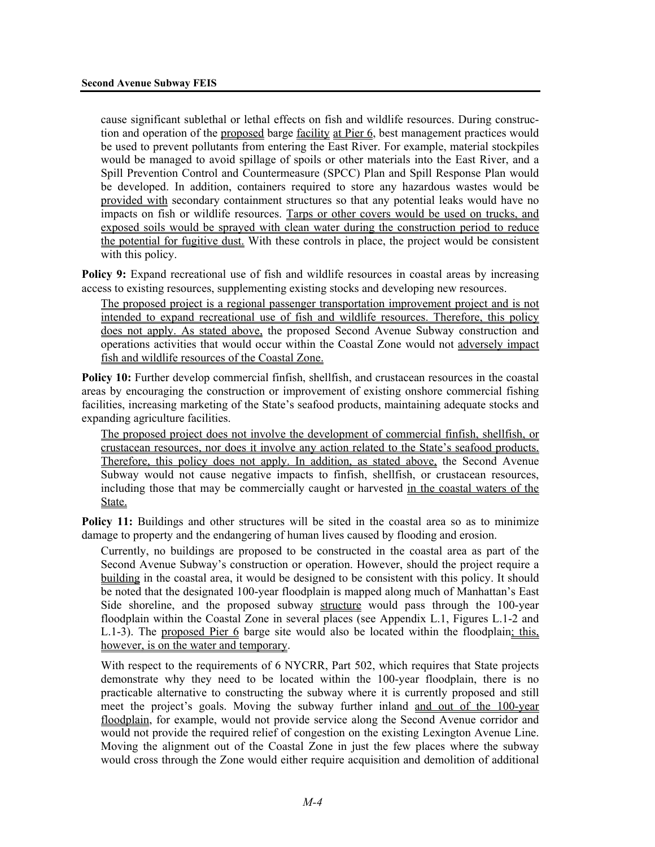cause significant sublethal or lethal effects on fish and wildlife resources. During construction and operation of the proposed barge facility at Pier 6, best management practices would be used to prevent pollutants from entering the East River. For example, material stockpiles would be managed to avoid spillage of spoils or other materials into the East River, and a Spill Prevention Control and Countermeasure (SPCC) Plan and Spill Response Plan would be developed. In addition, containers required to store any hazardous wastes would be provided with secondary containment structures so that any potential leaks would have no impacts on fish or wildlife resources. Tarps or other covers would be used on trucks, and exposed soils would be sprayed with clean water during the construction period to reduce the potential for fugitive dust. With these controls in place, the project would be consistent with this policy.

**Policy 9:** Expand recreational use of fish and wildlife resources in coastal areas by increasing access to existing resources, supplementing existing stocks and developing new resources.

The proposed project is a regional passenger transportation improvement project and is not intended to expand recreational use of fish and wildlife resources. Therefore, this policy does not apply. As stated above, the proposed Second Avenue Subway construction and operations activities that would occur within the Coastal Zone would not adversely impact fish and wildlife resources of the Coastal Zone.

**Policy 10:** Further develop commercial finfish, shellfish, and crustacean resources in the coastal areas by encouraging the construction or improvement of existing onshore commercial fishing facilities, increasing marketing of the State's seafood products, maintaining adequate stocks and expanding agriculture facilities.

The proposed project does not involve the development of commercial finfish, shellfish, or crustacean resources, nor does it involve any action related to the State's seafood products. Therefore, this policy does not apply. In addition, as stated above, the Second Avenue Subway would not cause negative impacts to finfish, shellfish, or crustacean resources, including those that may be commercially caught or harvested in the coastal waters of the State.

**Policy 11:** Buildings and other structures will be sited in the coastal area so as to minimize damage to property and the endangering of human lives caused by flooding and erosion.

Currently, no buildings are proposed to be constructed in the coastal area as part of the Second Avenue Subway's construction or operation. However, should the project require a building in the coastal area, it would be designed to be consistent with this policy. It should be noted that the designated 100-year floodplain is mapped along much of Manhattan's East Side shoreline, and the proposed subway structure would pass through the 100-year floodplain within the Coastal Zone in several places (see Appendix L.1, Figures L.1-2 and L.1-3). The proposed Pier 6 barge site would also be located within the floodplain; this, however, is on the water and temporary.

With respect to the requirements of 6 NYCRR, Part 502, which requires that State projects demonstrate why they need to be located within the 100-year floodplain, there is no practicable alternative to constructing the subway where it is currently proposed and still meet the project's goals. Moving the subway further inland and out of the 100-year floodplain, for example, would not provide service along the Second Avenue corridor and would not provide the required relief of congestion on the existing Lexington Avenue Line. Moving the alignment out of the Coastal Zone in just the few places where the subway would cross through the Zone would either require acquisition and demolition of additional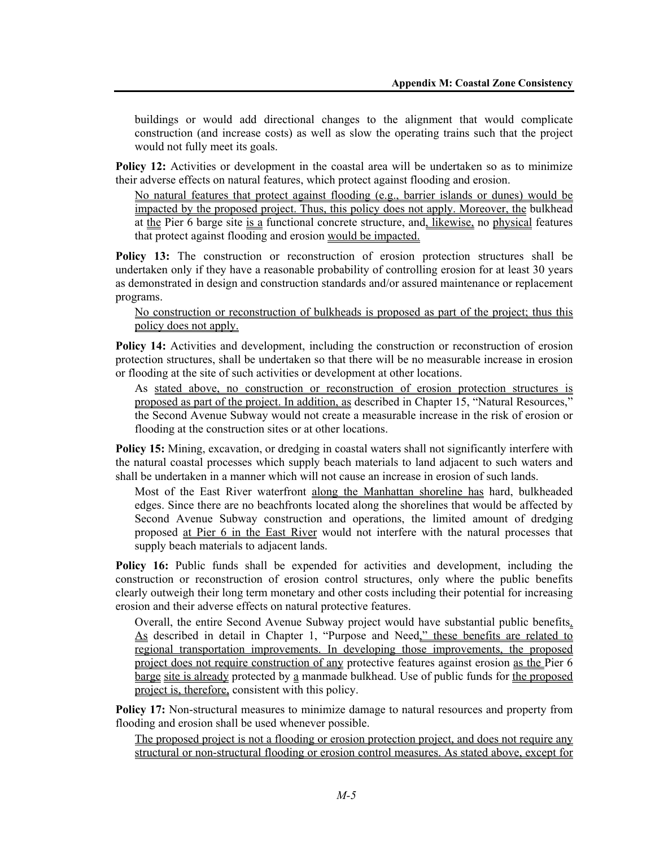buildings or would add directional changes to the alignment that would complicate construction (and increase costs) as well as slow the operating trains such that the project would not fully meet its goals.

**Policy 12:** Activities or development in the coastal area will be undertaken so as to minimize their adverse effects on natural features, which protect against flooding and erosion.

No natural features that protect against flooding (e.g., barrier islands or dunes) would be impacted by the proposed project. Thus, this policy does not apply. Moreover, the bulkhead at the Pier 6 barge site is a functional concrete structure, and, likewise, no physical features that protect against flooding and erosion would be impacted.

**Policy 13:** The construction or reconstruction of erosion protection structures shall be undertaken only if they have a reasonable probability of controlling erosion for at least 30 years as demonstrated in design and construction standards and/or assured maintenance or replacement programs.

#### No construction or reconstruction of bulkheads is proposed as part of the project; thus this policy does not apply.

**Policy 14:** Activities and development, including the construction or reconstruction of erosion protection structures, shall be undertaken so that there will be no measurable increase in erosion or flooding at the site of such activities or development at other locations.

As stated above, no construction or reconstruction of erosion protection structures is proposed as part of the project. In addition, as described in Chapter 15, "Natural Resources," the Second Avenue Subway would not create a measurable increase in the risk of erosion or flooding at the construction sites or at other locations.

**Policy 15:** Mining, excavation, or dredging in coastal waters shall not significantly interfere with the natural coastal processes which supply beach materials to land adjacent to such waters and shall be undertaken in a manner which will not cause an increase in erosion of such lands.

Most of the East River waterfront along the Manhattan shoreline has hard, bulkheaded edges. Since there are no beachfronts located along the shorelines that would be affected by Second Avenue Subway construction and operations, the limited amount of dredging proposed at Pier 6 in the East River would not interfere with the natural processes that supply beach materials to adjacent lands.

**Policy 16:** Public funds shall be expended for activities and development, including the construction or reconstruction of erosion control structures, only where the public benefits clearly outweigh their long term monetary and other costs including their potential for increasing erosion and their adverse effects on natural protective features.

Overall, the entire Second Avenue Subway project would have substantial public benefits. As described in detail in Chapter 1, "Purpose and Need," these benefits are related to regional transportation improvements. In developing those improvements, the proposed project does not require construction of any protective features against erosion as the Pier 6 barge site is already protected by a manmade bulkhead. Use of public funds for the proposed project is, therefore, consistent with this policy.

**Policy 17:** Non-structural measures to minimize damage to natural resources and property from flooding and erosion shall be used whenever possible.

The proposed project is not a flooding or erosion protection project, and does not require any structural or non-structural flooding or erosion control measures. As stated above, except for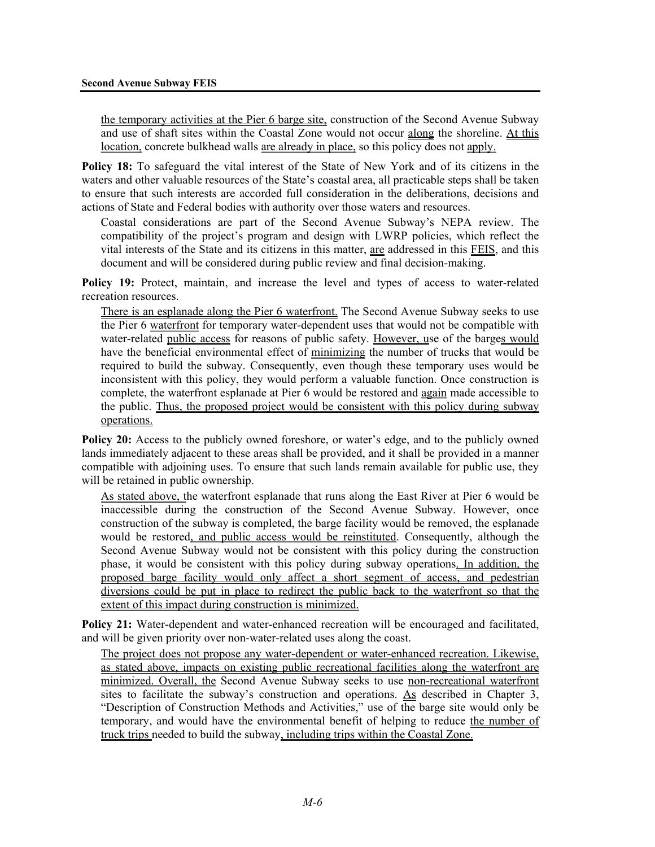the temporary activities at the Pier 6 barge site, construction of the Second Avenue Subway and use of shaft sites within the Coastal Zone would not occur along the shoreline. At this location, concrete bulkhead walls are already in place, so this policy does not apply.

**Policy 18:** To safeguard the vital interest of the State of New York and of its citizens in the waters and other valuable resources of the State's coastal area, all practicable steps shall be taken to ensure that such interests are accorded full consideration in the deliberations, decisions and actions of State and Federal bodies with authority over those waters and resources.

Coastal considerations are part of the Second Avenue Subway's NEPA review. The compatibility of the project's program and design with LWRP policies, which reflect the vital interests of the State and its citizens in this matter, are addressed in this FEIS, and this document and will be considered during public review and final decision-making.

**Policy 19:** Protect, maintain, and increase the level and types of access to water-related recreation resources.

There is an esplanade along the Pier 6 waterfront. The Second Avenue Subway seeks to use the Pier 6 waterfront for temporary water-dependent uses that would not be compatible with water-related public access for reasons of public safety. However, use of the barges would have the beneficial environmental effect of minimizing the number of trucks that would be required to build the subway. Consequently, even though these temporary uses would be inconsistent with this policy, they would perform a valuable function. Once construction is complete, the waterfront esplanade at Pier 6 would be restored and again made accessible to the public. Thus, the proposed project would be consistent with this policy during subway operations.

**Policy 20:** Access to the publicly owned foreshore, or water's edge, and to the publicly owned lands immediately adjacent to these areas shall be provided, and it shall be provided in a manner compatible with adjoining uses. To ensure that such lands remain available for public use, they will be retained in public ownership.

As stated above, the waterfront esplanade that runs along the East River at Pier 6 would be inaccessible during the construction of the Second Avenue Subway. However, once construction of the subway is completed, the barge facility would be removed, the esplanade would be restored, and public access would be reinstituted. Consequently, although the Second Avenue Subway would not be consistent with this policy during the construction phase, it would be consistent with this policy during subway operations. In addition, the proposed barge facility would only affect a short segment of access, and pedestrian diversions could be put in place to redirect the public back to the waterfront so that the extent of this impact during construction is minimized.

**Policy 21:** Water-dependent and water-enhanced recreation will be encouraged and facilitated, and will be given priority over non-water-related uses along the coast.

The project does not propose any water-dependent or water-enhanced recreation. Likewise, as stated above, impacts on existing public recreational facilities along the waterfront are minimized. Overall, the Second Avenue Subway seeks to use non-recreational waterfront sites to facilitate the subway's construction and operations. As described in Chapter 3, "Description of Construction Methods and Activities," use of the barge site would only be temporary, and would have the environmental benefit of helping to reduce the number of truck trips needed to build the subway, including trips within the Coastal Zone.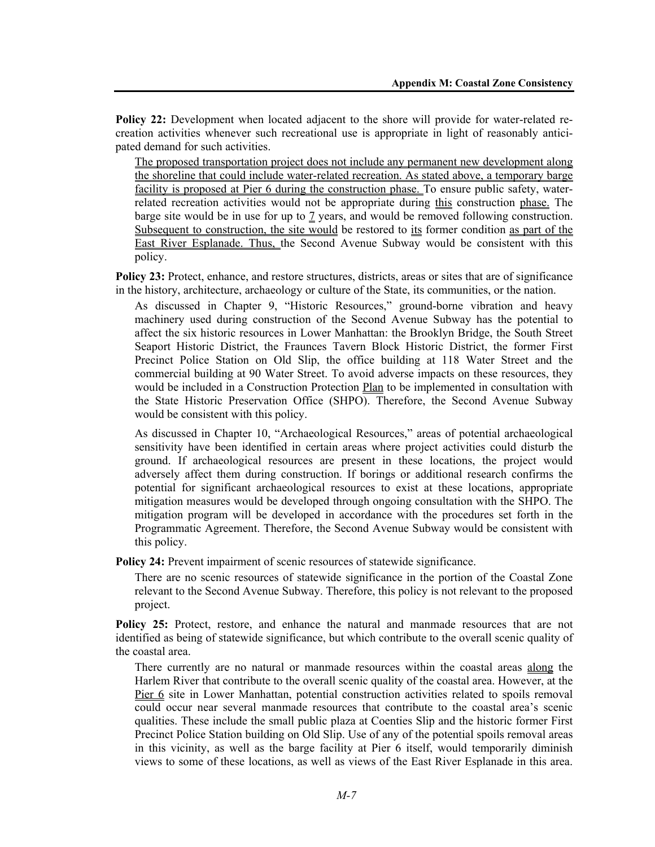**Policy 22:** Development when located adjacent to the shore will provide for water-related recreation activities whenever such recreational use is appropriate in light of reasonably anticipated demand for such activities.

The proposed transportation project does not include any permanent new development along the shoreline that could include water-related recreation. As stated above, a temporary barge facility is proposed at Pier 6 during the construction phase. To ensure public safety, waterrelated recreation activities would not be appropriate during this construction phase. The barge site would be in use for up to  $\frac{7}{2}$  years, and would be removed following construction. Subsequent to construction, the site would be restored to its former condition as part of the East River Esplanade. Thus, the Second Avenue Subway would be consistent with this policy.

Policy 23: Protect, enhance, and restore structures, districts, areas or sites that are of significance in the history, architecture, archaeology or culture of the State, its communities, or the nation.

As discussed in Chapter 9, "Historic Resources," ground-borne vibration and heavy machinery used during construction of the Second Avenue Subway has the potential to affect the six historic resources in Lower Manhattan: the Brooklyn Bridge, the South Street Seaport Historic District, the Fraunces Tavern Block Historic District, the former First Precinct Police Station on Old Slip, the office building at 118 Water Street and the commercial building at 90 Water Street. To avoid adverse impacts on these resources, they would be included in a Construction Protection Plan to be implemented in consultation with the State Historic Preservation Office (SHPO). Therefore, the Second Avenue Subway would be consistent with this policy.

As discussed in Chapter 10, "Archaeological Resources," areas of potential archaeological sensitivity have been identified in certain areas where project activities could disturb the ground. If archaeological resources are present in these locations, the project would adversely affect them during construction. If borings or additional research confirms the potential for significant archaeological resources to exist at these locations, appropriate mitigation measures would be developed through ongoing consultation with the SHPO. The mitigation program will be developed in accordance with the procedures set forth in the Programmatic Agreement. Therefore, the Second Avenue Subway would be consistent with this policy.

**Policy 24:** Prevent impairment of scenic resources of statewide significance.

There are no scenic resources of statewide significance in the portion of the Coastal Zone relevant to the Second Avenue Subway. Therefore, this policy is not relevant to the proposed project.

**Policy 25:** Protect, restore, and enhance the natural and manmade resources that are not identified as being of statewide significance, but which contribute to the overall scenic quality of the coastal area.

There currently are no natural or manmade resources within the coastal areas along the Harlem River that contribute to the overall scenic quality of the coastal area. However, at the Pier 6 site in Lower Manhattan, potential construction activities related to spoils removal could occur near several manmade resources that contribute to the coastal area's scenic qualities. These include the small public plaza at Coenties Slip and the historic former First Precinct Police Station building on Old Slip. Use of any of the potential spoils removal areas in this vicinity, as well as the barge facility at Pier 6 itself, would temporarily diminish views to some of these locations, as well as views of the East River Esplanade in this area.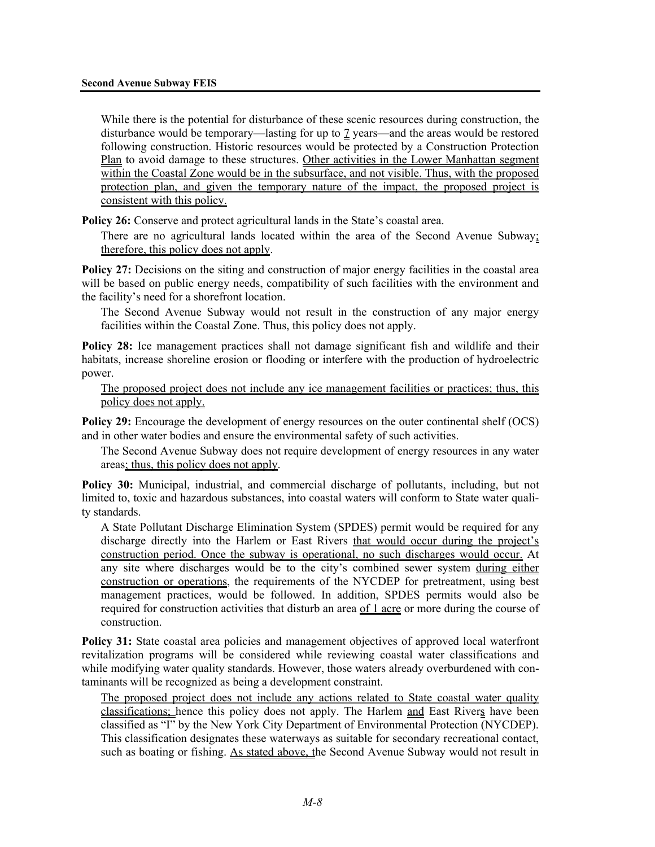While there is the potential for disturbance of these scenic resources during construction, the disturbance would be temporary—lasting for up to 7 years—and the areas would be restored following construction. Historic resources would be protected by a Construction Protection Plan to avoid damage to these structures. Other activities in the Lower Manhattan segment within the Coastal Zone would be in the subsurface, and not visible. Thus, with the proposed protection plan, and given the temporary nature of the impact, the proposed project is consistent with this policy.

**Policy 26:** Conserve and protect agricultural lands in the State's coastal area.

There are no agricultural lands located within the area of the Second Avenue Subway; therefore, this policy does not apply.

**Policy 27:** Decisions on the siting and construction of major energy facilities in the coastal area will be based on public energy needs, compatibility of such facilities with the environment and the facility's need for a shorefront location.

The Second Avenue Subway would not result in the construction of any major energy facilities within the Coastal Zone. Thus, this policy does not apply.

**Policy 28:** Ice management practices shall not damage significant fish and wildlife and their habitats, increase shoreline erosion or flooding or interfere with the production of hydroelectric power.

The proposed project does not include any ice management facilities or practices; thus, this policy does not apply.

**Policy 29:** Encourage the development of energy resources on the outer continental shelf (OCS) and in other water bodies and ensure the environmental safety of such activities.

The Second Avenue Subway does not require development of energy resources in any water areas; thus, this policy does not apply.

**Policy 30:** Municipal, industrial, and commercial discharge of pollutants, including, but not limited to, toxic and hazardous substances, into coastal waters will conform to State water quality standards.

A State Pollutant Discharge Elimination System (SPDES) permit would be required for any discharge directly into the Harlem or East Rivers that would occur during the project's construction period. Once the subway is operational, no such discharges would occur. At any site where discharges would be to the city's combined sewer system during either construction or operations, the requirements of the NYCDEP for pretreatment, using best management practices, would be followed. In addition, SPDES permits would also be required for construction activities that disturb an area of 1 acre or more during the course of construction.

**Policy 31:** State coastal area policies and management objectives of approved local waterfront revitalization programs will be considered while reviewing coastal water classifications and while modifying water quality standards. However, those waters already overburdened with contaminants will be recognized as being a development constraint.

The proposed project does not include any actions related to State coastal water quality classifications; hence this policy does not apply. The Harlem and East Rivers have been classified as "I" by the New York City Department of Environmental Protection (NYCDEP). This classification designates these waterways as suitable for secondary recreational contact, such as boating or fishing. As stated above, the Second Avenue Subway would not result in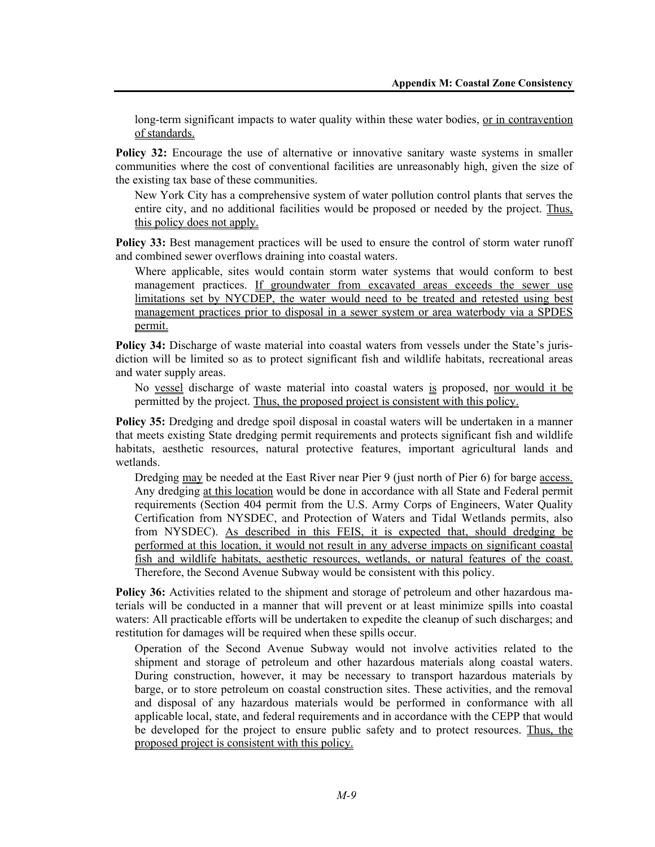long-term significant impacts to water quality within these water bodies, <u>or in contravention</u> of standards.

**Policy 32:** Encourage the use of alternative or innovative sanitary waste systems in smaller communities where the cost of conventional facilities are unreasonably high, given the size of the existing tax base of these communities.

New York City has a comprehensive system of water pollution control plants that serves the entire city, and no additional facilities would be proposed or needed by the project. Thus, this policy does not apply.

**Policy 33:** Best management practices will be used to ensure the control of storm water runoff and combined sewer overflows draining into coastal waters.

Where applicable, sites would contain storm water systems that would conform to best management practices. If groundwater from excavated areas exceeds the sewer use limitations set by NYCDEP, the water would need to be treated and retested using best management practices prior to disposal in a sewer system or area waterbody via a SPDES permit.

**Policy 34:** Discharge of waste material into coastal waters from vessels under the State's jurisdiction will be limited so as to protect significant fish and wildlife habitats, recreational areas and water supply areas.

No vessel discharge of waste material into coastal waters is proposed, nor would it be permitted by the project. Thus, the proposed project is consistent with this policy.

**Policy 35:** Dredging and dredge spoil disposal in coastal waters will be undertaken in a manner that meets existing State dredging permit requirements and protects significant fish and wildlife habitats, aesthetic resources, natural protective features, important agricultural lands and wetlands.

Dredging may be needed at the East River near Pier 9 (just north of Pier 6) for barge access. Any dredging at this location would be done in accordance with all State and Federal permit requirements (Section 404 permit from the U.S. Army Corps of Engineers, Water Quality Certification from NYSDEC, and Protection of Waters and Tidal Wetlands permits, also from NYSDEC). As described in this FEIS, it is expected that, should dredging be performed at this location, it would not result in any adverse impacts on significant coastal fish and wildlife habitats, aesthetic resources, wetlands, or natural features of the coast.

Therefore, the Second Avenue Subway would be consistent with this policy.

**Policy 36:** Activities related to the shipment and storage of petroleum and other hazardous materials will be conducted in a manner that will prevent or at least minimize spills into coastal waters: All practicable efforts will be undertaken to expedite the cleanup of such discharges; and restitution for damages will be required when these spills occur.

Operation of the Second Avenue Subway would not involve activities related to the shipment and storage of petroleum and other hazardous materials along coastal waters. During construction, however, it may be necessary to transport hazardous materials by barge, or to store petroleum on coastal construction sites. These activities, and the removal and disposal of any hazardous materials would be performed in conformance with all applicable local, state, and federal requirements and in accordance with the CEPP that would be developed for the project to ensure public safety and to protect resources. Thus, the proposed project is consistent with this policy.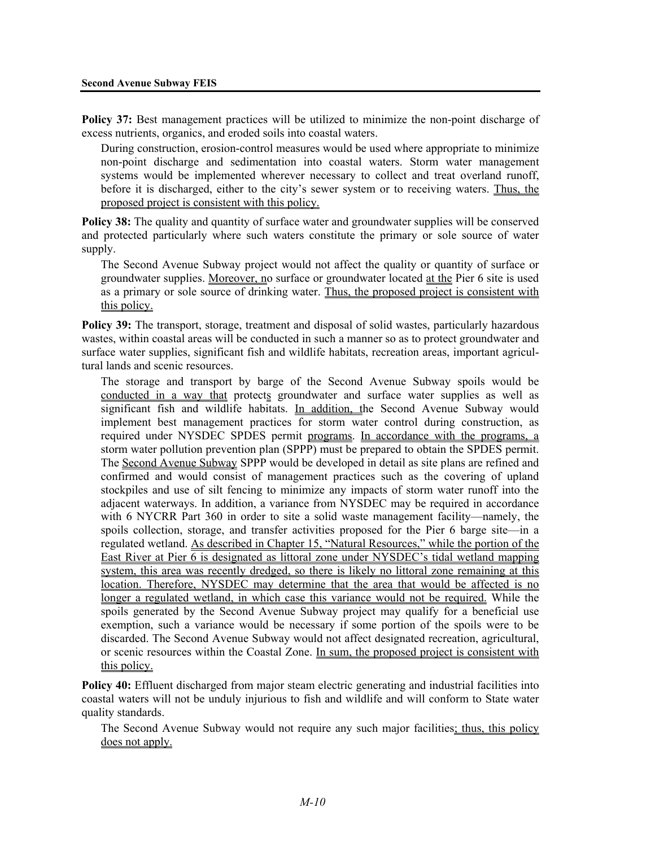**Policy 37:** Best management practices will be utilized to minimize the non-point discharge of excess nutrients, organics, and eroded soils into coastal waters.

During construction, erosion-control measures would be used where appropriate to minimize non-point discharge and sedimentation into coastal waters. Storm water management systems would be implemented wherever necessary to collect and treat overland runoff, before it is discharged, either to the city's sewer system or to receiving waters. Thus, the proposed project is consistent with this policy.

**Policy 38:** The quality and quantity of surface water and groundwater supplies will be conserved and protected particularly where such waters constitute the primary or sole source of water supply.

The Second Avenue Subway project would not affect the quality or quantity of surface or groundwater supplies. Moreover, no surface or groundwater located at the Pier 6 site is used as a primary or sole source of drinking water. Thus, the proposed project is consistent with this policy.

**Policy 39:** The transport, storage, treatment and disposal of solid wastes, particularly hazardous wastes, within coastal areas will be conducted in such a manner so as to protect groundwater and surface water supplies, significant fish and wildlife habitats, recreation areas, important agricultural lands and scenic resources.

The storage and transport by barge of the Second Avenue Subway spoils would be conducted in a way that protects groundwater and surface water supplies as well as significant fish and wildlife habitats. In addition, the Second Avenue Subway would implement best management practices for storm water control during construction, as required under NYSDEC SPDES permit programs. In accordance with the programs, a storm water pollution prevention plan (SPPP) must be prepared to obtain the SPDES permit. The Second Avenue Subway SPPP would be developed in detail as site plans are refined and confirmed and would consist of management practices such as the covering of upland stockpiles and use of silt fencing to minimize any impacts of storm water runoff into the adjacent waterways. In addition, a variance from NYSDEC may be required in accordance with 6 NYCRR Part 360 in order to site a solid waste management facility—namely, the spoils collection, storage, and transfer activities proposed for the Pier 6 barge site—in a regulated wetland. As described in Chapter 15, "Natural Resources," while the portion of the East River at Pier 6 is designated as littoral zone under NYSDEC's tidal wetland mapping system, this area was recently dredged, so there is likely no littoral zone remaining at this location. Therefore, NYSDEC may determine that the area that would be affected is no longer a regulated wetland, in which case this variance would not be required. While the spoils generated by the Second Avenue Subway project may qualify for a beneficial use exemption, such a variance would be necessary if some portion of the spoils were to be discarded. The Second Avenue Subway would not affect designated recreation, agricultural, or scenic resources within the Coastal Zone. In sum, the proposed project is consistent with this policy.

**Policy 40:** Effluent discharged from major steam electric generating and industrial facilities into coastal waters will not be unduly injurious to fish and wildlife and will conform to State water quality standards.

The Second Avenue Subway would not require any such major facilities; thus, this policy does not apply.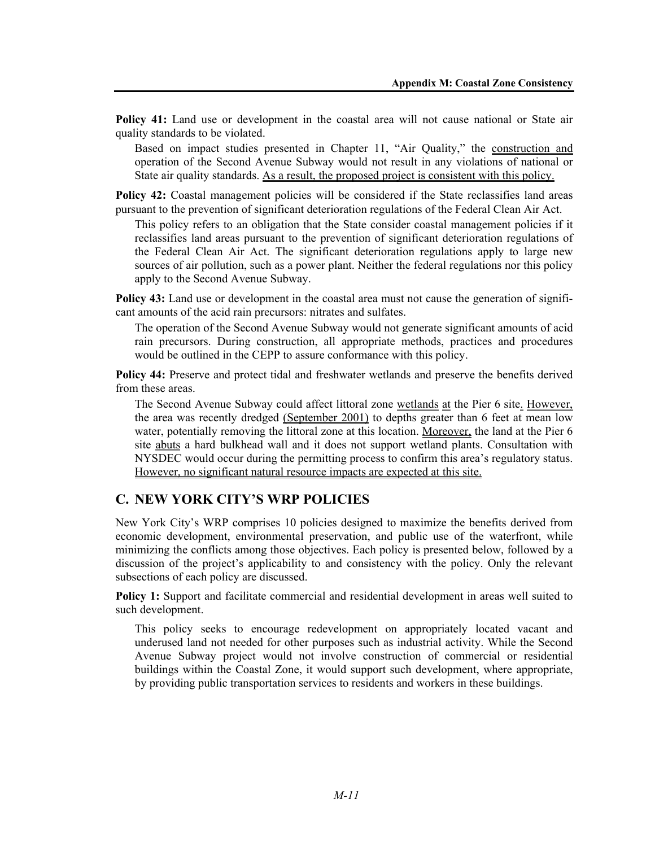**Policy 41:** Land use or development in the coastal area will not cause national or State air quality standards to be violated.

Based on impact studies presented in Chapter 11, "Air Quality," the construction and operation of the Second Avenue Subway would not result in any violations of national or State air quality standards. As a result, the proposed project is consistent with this policy.

**Policy 42:** Coastal management policies will be considered if the State reclassifies land areas pursuant to the prevention of significant deterioration regulations of the Federal Clean Air Act.

This policy refers to an obligation that the State consider coastal management policies if it reclassifies land areas pursuant to the prevention of significant deterioration regulations of the Federal Clean Air Act. The significant deterioration regulations apply to large new sources of air pollution, such as a power plant. Neither the federal regulations nor this policy apply to the Second Avenue Subway.

**Policy 43:** Land use or development in the coastal area must not cause the generation of significant amounts of the acid rain precursors: nitrates and sulfates.

The operation of the Second Avenue Subway would not generate significant amounts of acid rain precursors. During construction, all appropriate methods, practices and procedures would be outlined in the CEPP to assure conformance with this policy.

**Policy 44:** Preserve and protect tidal and freshwater wetlands and preserve the benefits derived from these areas.

The Second Avenue Subway could affect littoral zone wetlands at the Pier 6 site. However, the area was recently dredged (September 2001) to depths greater than 6 feet at mean low water, potentially removing the littoral zone at this location. Moreover, the land at the Pier 6 site abuts a hard bulkhead wall and it does not support wetland plants. Consultation with NYSDEC would occur during the permitting process to confirm this area's regulatory status. However, no significant natural resource impacts are expected at this site.

# **C. NEW YORK CITY'S WRP POLICIES**

New York City's WRP comprises 10 policies designed to maximize the benefits derived from economic development, environmental preservation, and public use of the waterfront, while minimizing the conflicts among those objectives. Each policy is presented below, followed by a discussion of the project's applicability to and consistency with the policy. Only the relevant subsections of each policy are discussed.

**Policy 1:** Support and facilitate commercial and residential development in areas well suited to such development.

This policy seeks to encourage redevelopment on appropriately located vacant and underused land not needed for other purposes such as industrial activity. While the Second Avenue Subway project would not involve construction of commercial or residential buildings within the Coastal Zone, it would support such development, where appropriate, by providing public transportation services to residents and workers in these buildings.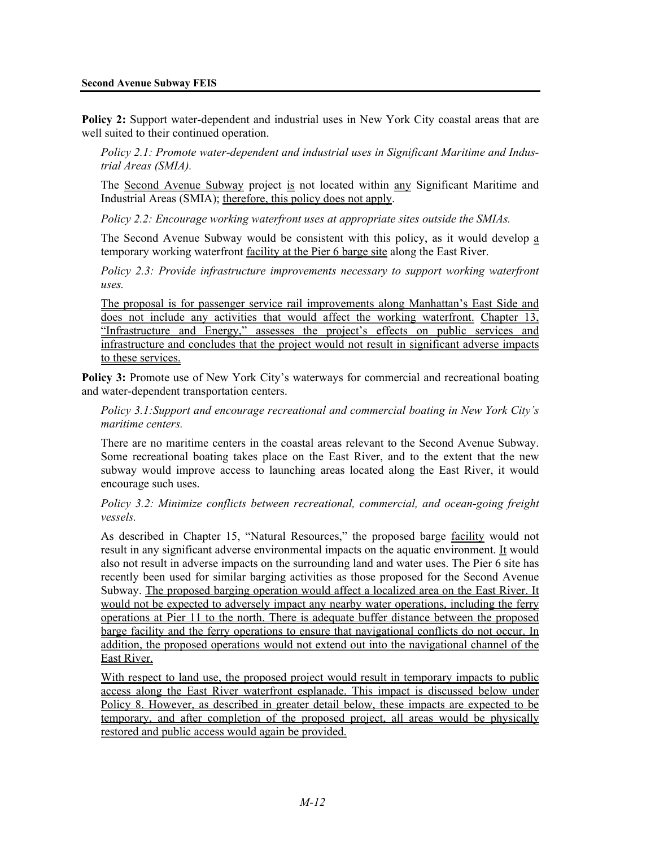#### **Second Avenue Subway FEIS**

**Policy 2:** Support water-dependent and industrial uses in New York City coastal areas that are well suited to their continued operation.

*Policy 2.1: Promote water-dependent and industrial uses in Significant Maritime and Industrial Areas (SMIA).* 

The Second Avenue Subway project is not located within any Significant Maritime and Industrial Areas (SMIA); therefore, this policy does not apply.

*Policy 2.2: Encourage working waterfront uses at appropriate sites outside the SMIAs.*

The Second Avenue Subway would be consistent with this policy, as it would develop a temporary working waterfront facility at the Pier 6 barge site along the East River.

*Policy 2.3: Provide infrastructure improvements necessary to support working waterfront uses.* 

The proposal is for passenger service rail improvements along Manhattan's East Side and does not include any activities that would affect the working waterfront. Chapter 13, "Infrastructure and Energy," assesses the project's effects on public services and infrastructure and concludes that the project would not result in significant adverse impacts to these services.

**Policy 3:** Promote use of New York City's waterways for commercial and recreational boating and water-dependent transportation centers.

*Policy 3.1:Support and encourage recreational and commercial boating in New York City's maritime centers.* 

There are no maritime centers in the coastal areas relevant to the Second Avenue Subway. Some recreational boating takes place on the East River, and to the extent that the new subway would improve access to launching areas located along the East River, it would encourage such uses.

*Policy 3.2: Minimize conflicts between recreational, commercial, and ocean-going freight vessels.* 

As described in Chapter 15, "Natural Resources," the proposed barge facility would not result in any significant adverse environmental impacts on the aquatic environment. It would also not result in adverse impacts on the surrounding land and water uses. The Pier 6 site has recently been used for similar barging activities as those proposed for the Second Avenue Subway. The proposed barging operation would affect a localized area on the East River. It would not be expected to adversely impact any nearby water operations, including the ferry operations at Pier 11 to the north. There is adequate buffer distance between the proposed barge facility and the ferry operations to ensure that navigational conflicts do not occur. In addition, the proposed operations would not extend out into the navigational channel of the East River.

With respect to land use, the proposed project would result in temporary impacts to public access along the East River waterfront esplanade. This impact is discussed below under Policy 8. However, as described in greater detail below, these impacts are expected to be temporary, and after completion of the proposed project, all areas would be physically restored and public access would again be provided.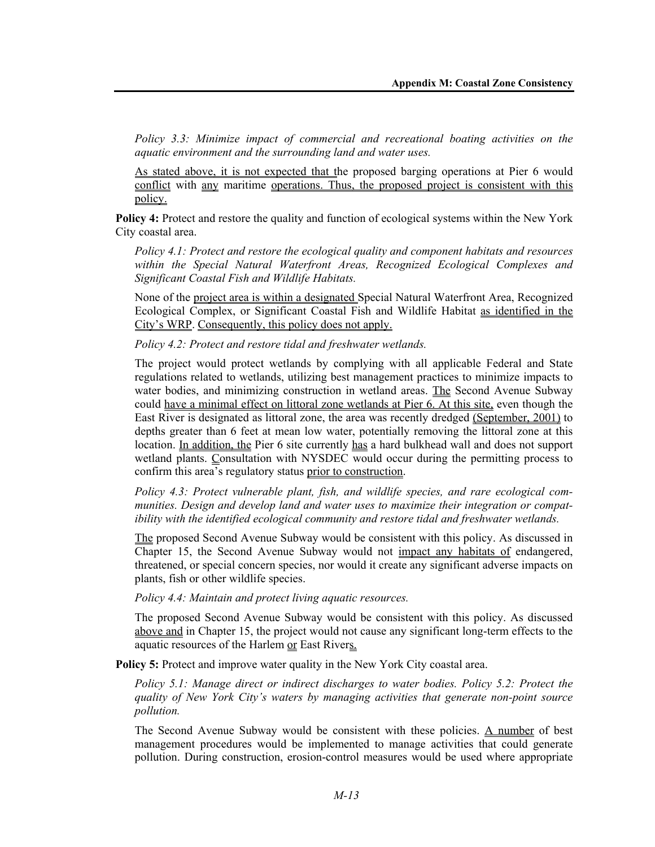*Policy 3.3: Minimize impact of commercial and recreational boating activities on the aquatic environment and the surrounding land and water uses.* 

As stated above, it is not expected that the proposed barging operations at Pier 6 would conflict with any maritime operations. Thus, the proposed project is consistent with this policy.

**Policy 4:** Protect and restore the quality and function of ecological systems within the New York City coastal area.

*Policy 4.1: Protect and restore the ecological quality and component habitats and resources within the Special Natural Waterfront Areas, Recognized Ecological Complexes and Significant Coastal Fish and Wildlife Habitats.* 

None of the project area is within a designated Special Natural Waterfront Area, Recognized Ecological Complex, or Significant Coastal Fish and Wildlife Habitat as identified in the City's WRP. Consequently, this policy does not apply.

*Policy 4.2: Protect and restore tidal and freshwater wetlands.* 

The project would protect wetlands by complying with all applicable Federal and State regulations related to wetlands, utilizing best management practices to minimize impacts to water bodies, and minimizing construction in wetland areas. The Second Avenue Subway could have a minimal effect on littoral zone wetlands at Pier 6. At this site, even though the East River is designated as littoral zone, the area was recently dredged (September, 2001) to depths greater than 6 feet at mean low water, potentially removing the littoral zone at this location. In addition, the Pier 6 site currently has a hard bulkhead wall and does not support wetland plants. Consultation with NYSDEC would occur during the permitting process to confirm this area's regulatory status prior to construction.

*Policy 4.3: Protect vulnerable plant, fish, and wildlife species, and rare ecological communities. Design and develop land and water uses to maximize their integration or compatibility with the identified ecological community and restore tidal and freshwater wetlands.* 

The proposed Second Avenue Subway would be consistent with this policy. As discussed in Chapter 15, the Second Avenue Subway would not impact any habitats of endangered, threatened, or special concern species, nor would it create any significant adverse impacts on plants, fish or other wildlife species.

*Policy 4.4: Maintain and protect living aquatic resources.* 

The proposed Second Avenue Subway would be consistent with this policy. As discussed above and in Chapter 15, the project would not cause any significant long-term effects to the aquatic resources of the Harlem or East Rivers.

**Policy 5:** Protect and improve water quality in the New York City coastal area.

*Policy 5.1: Manage direct or indirect discharges to water bodies. Policy 5.2: Protect the quality of New York City's waters by managing activities that generate non-point source pollution.*

The Second Avenue Subway would be consistent with these policies. A number of best management procedures would be implemented to manage activities that could generate pollution. During construction, erosion-control measures would be used where appropriate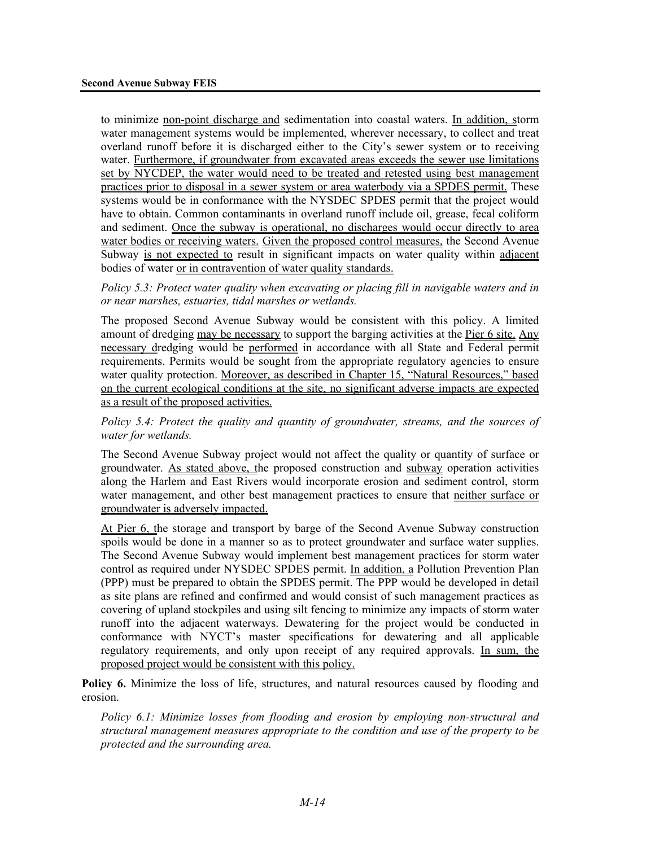to minimize non-point discharge and sedimentation into coastal waters. In addition, storm water management systems would be implemented, wherever necessary, to collect and treat overland runoff before it is discharged either to the City's sewer system or to receiving water. Furthermore, if groundwater from excavated areas exceeds the sewer use limitations set by NYCDEP, the water would need to be treated and retested using best management practices prior to disposal in a sewer system or area waterbody via a SPDES permit. These systems would be in conformance with the NYSDEC SPDES permit that the project would have to obtain. Common contaminants in overland runoff include oil, grease, fecal coliform and sediment. Once the subway is operational, no discharges would occur directly to area water bodies or receiving waters. Given the proposed control measures, the Second Avenue Subway is not expected to result in significant impacts on water quality within adjacent bodies of water or in contravention of water quality standards.

*Policy 5.3: Protect water quality when excavating or placing fill in navigable waters and in or near marshes, estuaries, tidal marshes or wetlands.* 

The proposed Second Avenue Subway would be consistent with this policy. A limited amount of dredging may be necessary to support the barging activities at the Pier 6 site. Any necessary dredging would be performed in accordance with all State and Federal permit requirements. Permits would be sought from the appropriate regulatory agencies to ensure water quality protection. Moreover, as described in Chapter 15, "Natural Resources," based on the current ecological conditions at the site, no significant adverse impacts are expected as a result of the proposed activities.

*Policy 5.4: Protect the quality and quantity of groundwater, streams, and the sources of water for wetlands.* 

The Second Avenue Subway project would not affect the quality or quantity of surface or groundwater. As stated above, the proposed construction and subway operation activities along the Harlem and East Rivers would incorporate erosion and sediment control, storm water management, and other best management practices to ensure that neither surface or groundwater is adversely impacted.

At Pier 6, the storage and transport by barge of the Second Avenue Subway construction spoils would be done in a manner so as to protect groundwater and surface water supplies. The Second Avenue Subway would implement best management practices for storm water control as required under NYSDEC SPDES permit. In addition, a Pollution Prevention Plan (PPP) must be prepared to obtain the SPDES permit. The PPP would be developed in detail as site plans are refined and confirmed and would consist of such management practices as covering of upland stockpiles and using silt fencing to minimize any impacts of storm water runoff into the adjacent waterways. Dewatering for the project would be conducted in conformance with NYCT's master specifications for dewatering and all applicable regulatory requirements, and only upon receipt of any required approvals. In sum, the proposed project would be consistent with this policy.

**Policy 6.** Minimize the loss of life, structures, and natural resources caused by flooding and erosion.

*Policy 6.1: Minimize losses from flooding and erosion by employing non-structural and structural management measures appropriate to the condition and use of the property to be protected and the surrounding area.*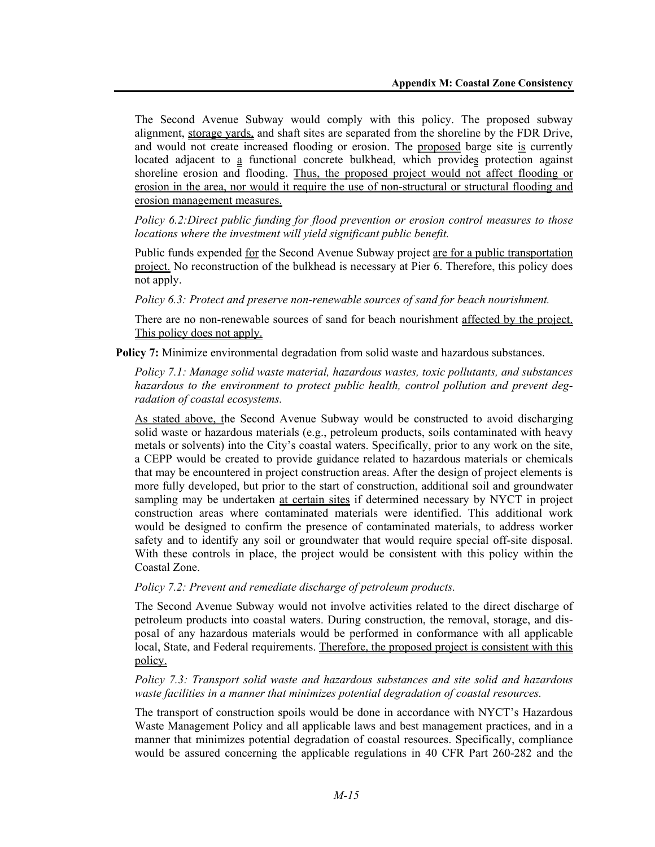The Second Avenue Subway would comply with this policy. The proposed subway alignment, storage yards, and shaft sites are separated from the shoreline by the FDR Drive, and would not create increased flooding or erosion. The proposed barge site is currently located adjacent to a functional concrete bulkhead, which provides protection against shoreline erosion and flooding. Thus, the proposed project would not affect flooding or erosion in the area, nor would it require the use of non-structural or structural flooding and erosion management measures.

*Policy 6.2:Direct public funding for flood prevention or erosion control measures to those locations where the investment will yield significant public benefit.* 

Public funds expended for the Second Avenue Subway project are for a public transportation project. No reconstruction of the bulkhead is necessary at Pier 6. Therefore, this policy does not apply.

*Policy 6.3: Protect and preserve non-renewable sources of sand for beach nourishment.* 

There are no non-renewable sources of sand for beach nourishment affected by the project. This policy does not apply.

**Policy 7:** Minimize environmental degradation from solid waste and hazardous substances.

*Policy 7.1: Manage solid waste material, hazardous wastes, toxic pollutants, and substances hazardous to the environment to protect public health, control pollution and prevent degradation of coastal ecosystems.* 

As stated above, the Second Avenue Subway would be constructed to avoid discharging solid waste or hazardous materials (e.g., petroleum products, soils contaminated with heavy metals or solvents) into the City's coastal waters. Specifically, prior to any work on the site, a CEPP would be created to provide guidance related to hazardous materials or chemicals that may be encountered in project construction areas. After the design of project elements is more fully developed, but prior to the start of construction, additional soil and groundwater sampling may be undertaken at certain sites if determined necessary by NYCT in project construction areas where contaminated materials were identified. This additional work would be designed to confirm the presence of contaminated materials, to address worker safety and to identify any soil or groundwater that would require special off-site disposal. With these controls in place, the project would be consistent with this policy within the Coastal Zone.

*Policy 7.2: Prevent and remediate discharge of petroleum products.*

The Second Avenue Subway would not involve activities related to the direct discharge of petroleum products into coastal waters. During construction, the removal, storage, and disposal of any hazardous materials would be performed in conformance with all applicable local, State, and Federal requirements. Therefore, the proposed project is consistent with this policy.

#### *Policy 7.3: Transport solid waste and hazardous substances and site solid and hazardous waste facilities in a manner that minimizes potential degradation of coastal resources.*

The transport of construction spoils would be done in accordance with NYCT's Hazardous Waste Management Policy and all applicable laws and best management practices, and in a manner that minimizes potential degradation of coastal resources. Specifically, compliance would be assured concerning the applicable regulations in 40 CFR Part 260-282 and the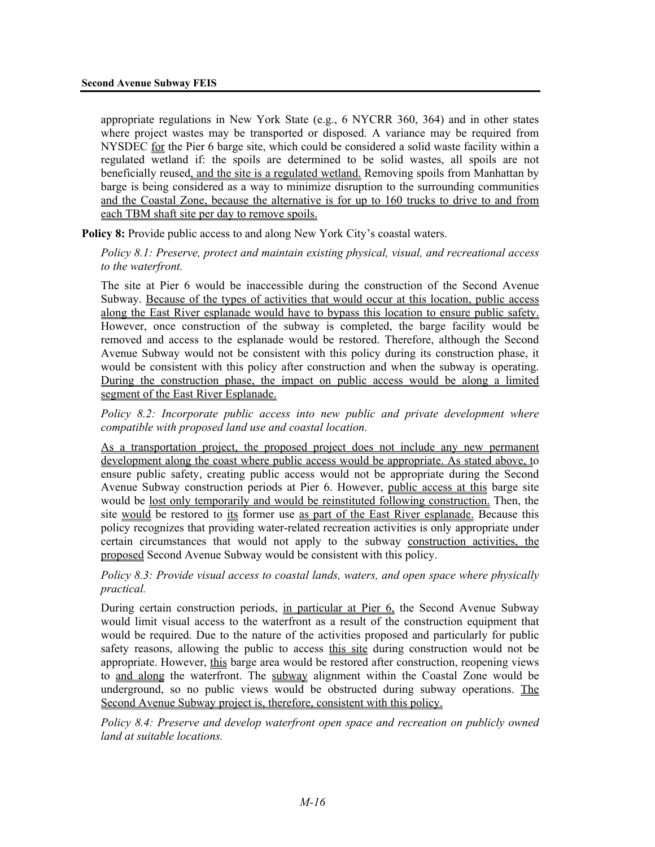appropriate regulations in New York State (e.g., 6 NYCRR 360, 364) and in other states where project wastes may be transported or disposed. A variance may be required from NYSDEC for the Pier 6 barge site, which could be considered a solid waste facility within a regulated wetland if: the spoils are determined to be solid wastes, all spoils are not beneficially reused, and the site is a regulated wetland. Removing spoils from Manhattan by barge is being considered as a way to minimize disruption to the surrounding communities and the Coastal Zone, because the alternative is for up to 160 trucks to drive to and from each TBM shaft site per day to remove spoils.

**Policy 8:** Provide public access to and along New York City's coastal waters.

*Policy 8.1: Preserve, protect and maintain existing physical, visual, and recreational access to the waterfront.* 

The site at Pier 6 would be inaccessible during the construction of the Second Avenue Subway. Because of the types of activities that would occur at this location, public access along the East River esplanade would have to bypass this location to ensure public safety. However, once construction of the subway is completed, the barge facility would be removed and access to the esplanade would be restored. Therefore, although the Second Avenue Subway would not be consistent with this policy during its construction phase, it would be consistent with this policy after construction and when the subway is operating. During the construction phase, the impact on public access would be along a limited segment of the East River Esplanade.

*Policy 8.2: Incorporate public access into new public and private development where compatible with proposed land use and coastal location.* 

As a transportation project, the proposed project does not include any new permanent development along the coast where public access would be appropriate. As stated above, to ensure public safety, creating public access would not be appropriate during the Second Avenue Subway construction periods at Pier 6. However, public access at this barge site would be lost only temporarily and would be reinstituted following construction. Then, the site would be restored to its former use as part of the East River esplanade. Because this policy recognizes that providing water-related recreation activities is only appropriate under certain circumstances that would not apply to the subway construction activities, the proposed Second Avenue Subway would be consistent with this policy.

*Policy 8.3: Provide visual access to coastal lands, waters, and open space where physically practical.* 

During certain construction periods, in particular at Pier 6, the Second Avenue Subway would limit visual access to the waterfront as a result of the construction equipment that would be required. Due to the nature of the activities proposed and particularly for public safety reasons, allowing the public to access this site during construction would not be appropriate. However, this barge area would be restored after construction, reopening views to and along the waterfront. The subway alignment within the Coastal Zone would be underground, so no public views would be obstructed during subway operations. The Second Avenue Subway project is, therefore, consistent with this policy.

*Policy 8.4: Preserve and develop waterfront open space and recreation on publicly owned land at suitable locations.*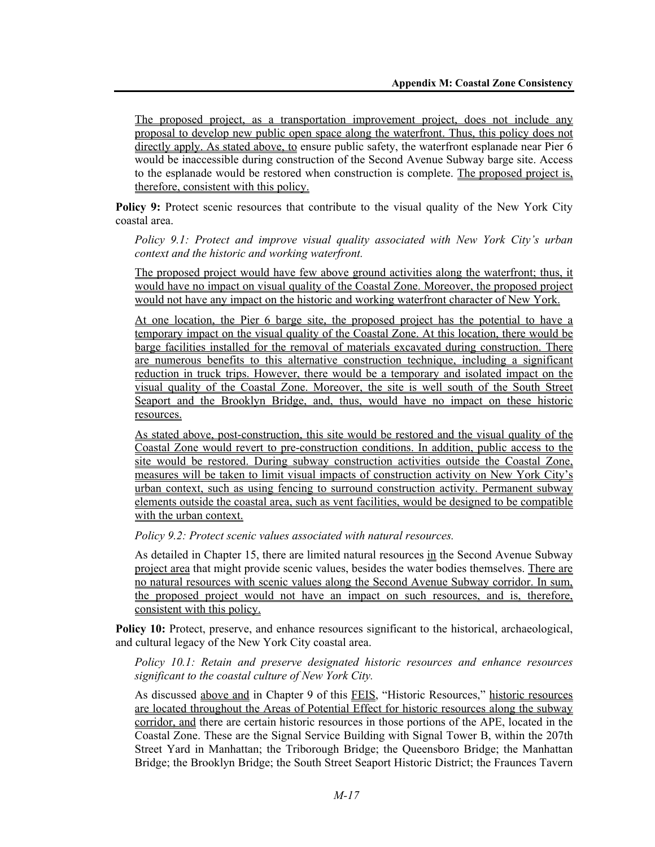The proposed project, as a transportation improvement project, does not include any proposal to develop new public open space along the waterfront. Thus, this policy does not directly apply. As stated above, to ensure public safety, the waterfront esplanade near Pier 6 would be inaccessible during construction of the Second Avenue Subway barge site. Access to the esplanade would be restored when construction is complete. The proposed project is, therefore, consistent with this policy.

**Policy 9:** Protect scenic resources that contribute to the visual quality of the New York City coastal area.

*Policy 9.1: Protect and improve visual quality associated with New York City's urban context and the historic and working waterfront.* 

The proposed project would have few above ground activities along the waterfront; thus, it would have no impact on visual quality of the Coastal Zone. Moreover, the proposed project would not have any impact on the historic and working waterfront character of New York.

At one location, the Pier 6 barge site, the proposed project has the potential to have a temporary impact on the visual quality of the Coastal Zone. At this location, there would be barge facilities installed for the removal of materials excavated during construction. There are numerous benefits to this alternative construction technique, including a significant reduction in truck trips. However, there would be a temporary and isolated impact on the visual quality of the Coastal Zone. Moreover, the site is well south of the South Street Seaport and the Brooklyn Bridge, and, thus, would have no impact on these historic resources.

As stated above, post-construction, this site would be restored and the visual quality of the Coastal Zone would revert to pre-construction conditions. In addition, public access to the site would be restored. During subway construction activities outside the Coastal Zone, measures will be taken to limit visual impacts of construction activity on New York City's urban context, such as using fencing to surround construction activity. Permanent subway elements outside the coastal area, such as vent facilities, would be designed to be compatible with the urban context.

*Policy 9.2: Protect scenic values associated with natural resources.* 

As detailed in Chapter 15, there are limited natural resources in the Second Avenue Subway project area that might provide scenic values, besides the water bodies themselves. There are no natural resources with scenic values along the Second Avenue Subway corridor. In sum, the proposed project would not have an impact on such resources, and is, therefore, consistent with this policy.

**Policy 10:** Protect, preserve, and enhance resources significant to the historical, archaeological, and cultural legacy of the New York City coastal area.

#### *Policy 10.1: Retain and preserve designated historic resources and enhance resources significant to the coastal culture of New York City.*

As discussed above and in Chapter 9 of this FEIS, "Historic Resources," historic resources are located throughout the Areas of Potential Effect for historic resources along the subway corridor, and there are certain historic resources in those portions of the APE, located in the Coastal Zone. These are the Signal Service Building with Signal Tower B, within the 207th Street Yard in Manhattan; the Triborough Bridge; the Queensboro Bridge; the Manhattan Bridge; the Brooklyn Bridge; the South Street Seaport Historic District; the Fraunces Tavern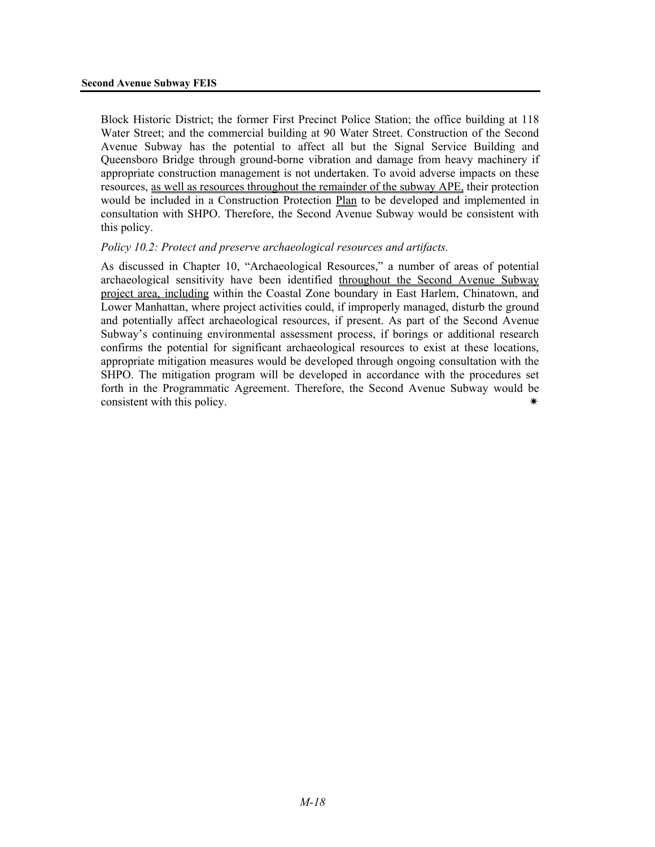Block Historic District; the former First Precinct Police Station; the office building at 118 Water Street; and the commercial building at 90 Water Street. Construction of the Second Avenue Subway has the potential to affect all but the Signal Service Building and Queensboro Bridge through ground-borne vibration and damage from heavy machinery if appropriate construction management is not undertaken. To avoid adverse impacts on these resources, as well as resources throughout the remainder of the subway APE, their protection would be included in a Construction Protection Plan to be developed and implemented in consultation with SHPO. Therefore, the Second Avenue Subway would be consistent with this policy.

#### *Policy 10.2: Protect and preserve archaeological resources and artifacts.*

As discussed in Chapter 10, "Archaeological Resources," a number of areas of potential archaeological sensitivity have been identified throughout the Second Avenue Subway project area, including within the Coastal Zone boundary in East Harlem, Chinatown, and Lower Manhattan, where project activities could, if improperly managed, disturb the ground and potentially affect archaeological resources, if present. As part of the Second Avenue Subway's continuing environmental assessment process, if borings or additional research confirms the potential for significant archaeological resources to exist at these locations, appropriate mitigation measures would be developed through ongoing consultation with the SHPO. The mitigation program will be developed in accordance with the procedures set forth in the Programmatic Agreement. Therefore, the Second Avenue Subway would be consistent with this policy.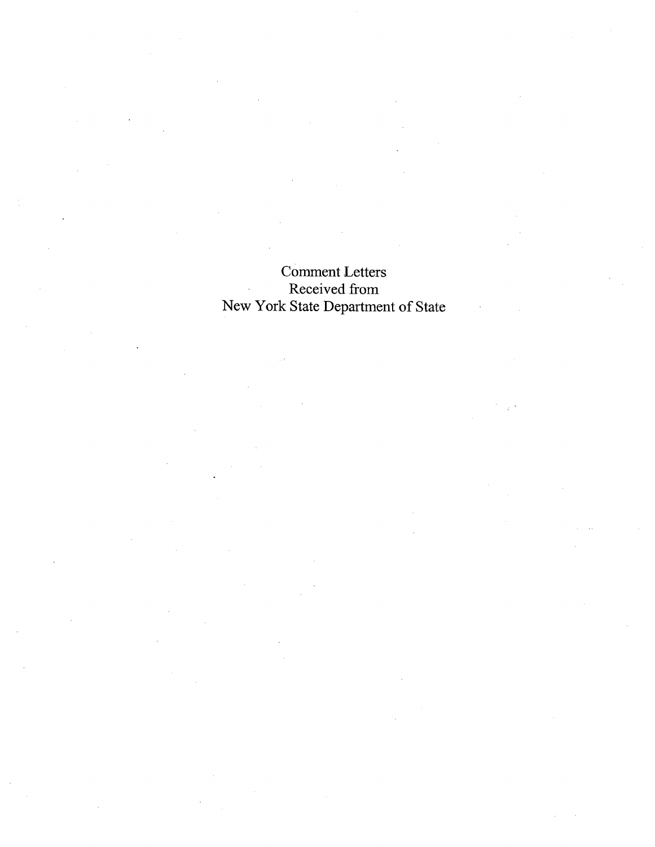# Comment Letters Received from New York State Department of State

 $\mathcal{L}$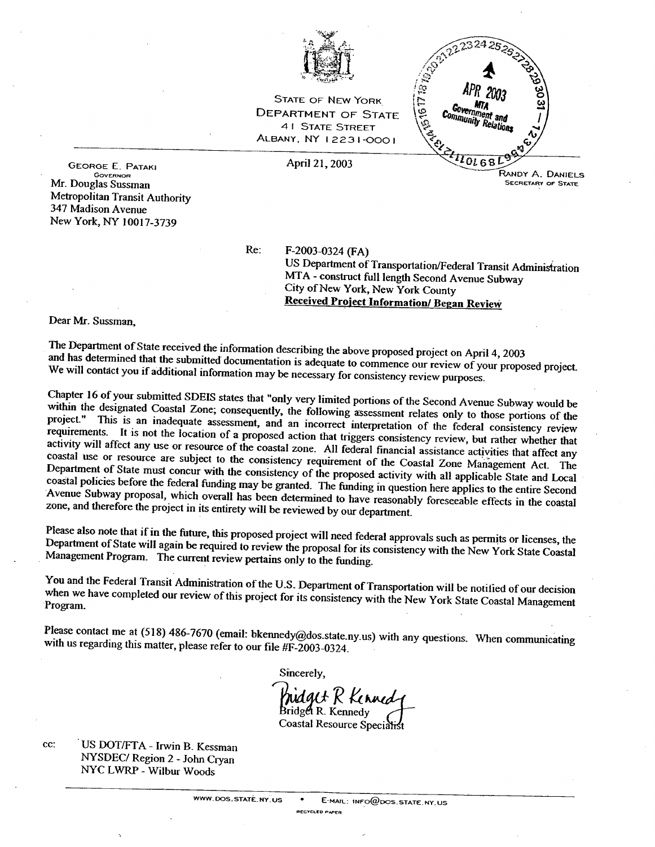

**STATE OF NEW YORK DEPARTMENT OF STATE 41 STATE STREET ALBANY, NY 12231-0001** 

April 21, 2003

141916171970 MTA Government and Community Relations  $n_{0168}$ RANDY A. DANIELS **SECRETARY OF STATE** 

 $2324$ 

**GEORGE E. PATAKI GOVERNOR** Mr. Douglas Sussman Metropolitan Transit Authority 347 Madison Avenue New York, NY 10017-3739

Re:

F-2003-0324 (FA) US Department of Transportation/Federal Transit Administration MTA - construct full length Second Avenue Subway City of New York, New York County Received Project Information/ Began Review

Dear Mr. Sussman.

The Department of State received the information describing the above proposed project on April 4, 2003 and has determined that the submitted documentation is adequate to commence our review of your proposed project. We will contact you if additional information may be necessary for consistency review purposes.

Chapter 16 of your submitted SDEIS states that "only very limited portions of the Second Avenue Subway would be within the designated Coastal Zone; consequently, the following assessment relates only to those portions of the project." This is an inadequate assessment, and an incorrect interpretation of the federal consistency review requirements. It is not the location of a proposed action that triggers consistency review, but rather whether that activity will affect any use or resource of the coastal zone. All federal financial assistance activities that affect any coastal use or resource are subject to the consistency requirement of the Coastal Zone Management Act. The Department of State must concur with the consistency of the proposed activity with all applicable State and Local coastal policies before the federal funding may be granted. The funding in question here applies to the entire Second Avenue Subway proposal, which overall has been determined to have reasonably foreseeable effects in the coastal zone, and therefore the project in its entirety will be reviewed by our department.

Please also note that if in the future, this proposed project will need federal approvals such as permits or licenses, the Department of State will again be required to review the proposal for its consistency with the New York State Coastal Management Program. The current review pertains only to the funding.

You and the Federal Transit Administration of the U.S. Department of Transportation will be notified of our decision when we have completed our review of this project for its consistency with the New York State Coastal Management Program.

Please contact me at (518) 486-7670 (email: bkennedy@dos.state.ny.us) with any questions. When communicating with us regarding this matter, please refer to our file #F-2003-0324.

Sincerely.

hidait R Kinned Bridget R. Kennedy Coastal Resource Specialist

cc: US DOT/FTA - Irwin B. Kessman NYSDEC/ Region 2 - John Cryan NYC LWRP - Wilbur Woods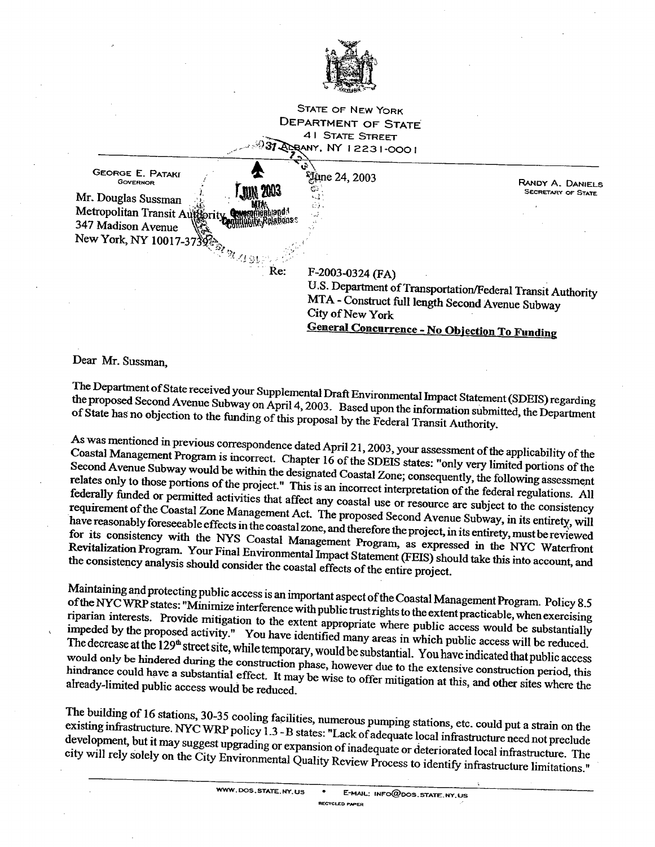

**STATE OF NEW YORK** DEPARTMENT OF STATE **41 STATE STREET** ANY, NY 12231-0001



**General Concurrence - No Objection To Funding** 

### Dear Mr. Sussman,

The Department of State received your Supplemental Draft Environmental Impact Statement (SDEIS) regarding the proposed Second Avenue Subway on April 4, 2003. Based upon the information submitted, the Department of State has no objection to the funding of this proposal by the Federal Transit Authority.

As was mentioned in previous correspondence dated April 21, 2003, your assessment of the applicability of the Coastal Management Program is incorrect. Chapter 16 of the SDEIS states: "only very limited portions of the Second Avenue Subway would be within the designated Coastal Zone; consequently, the following assessment relates only to those portions of the project." This is an incorrect interpretation of the federal regulations. All federally funded or permitted activities that affect any coastal use or resource are subject to the consistency requirement of the Coastal Zone Management Act. The proposed Second Avenue Subway, in its entirety, will have reasonably foreseeable effects in the coastal zone, and therefore the project, in its entirety, must be reviewed for its consistency with the NYS Coastal Management Program, as expressed in the NYC Waterfront Revitalization Program. Your Final Environmental Impact Statement (FEIS) should take this into account, and the consistency analysis should consider the coastal effects of the entire project.

Maintaining and protecting public access is an important aspect of the Coastal Management Program. Policy 8.5 of the NYC WRP states: "Minimize interference with public trust rights to the extent practicable, when exercising riparian interests. Provide mitigation to the extent appropriate where public access would be substantially impeded by the proposed activity." You have identified many areas in which public access will be reduced. The decrease at the 129<sup>th</sup> street site, while temporary, would be substantial. You have indicated that public access would only be hindered during the construction phase, however due to the extensive construction period, this hindrance could have a substantial effect. It may be wise to offer mitigation at this, and other sites where the already-limited public access would be reduced.

The building of 16 stations, 30-35 cooling facilities, numerous pumping stations, etc. could put a strain on the existing infrastructure. NYC WRP policy 1.3 - B states: "Lack of adequate local infrastructure need not preclude development, but it may suggest upgrading or expansion of inadequate or deteriorated local infrastructure. The city will rely solely on the City Environmental Quality Review Process to identify infrastructure limitations."